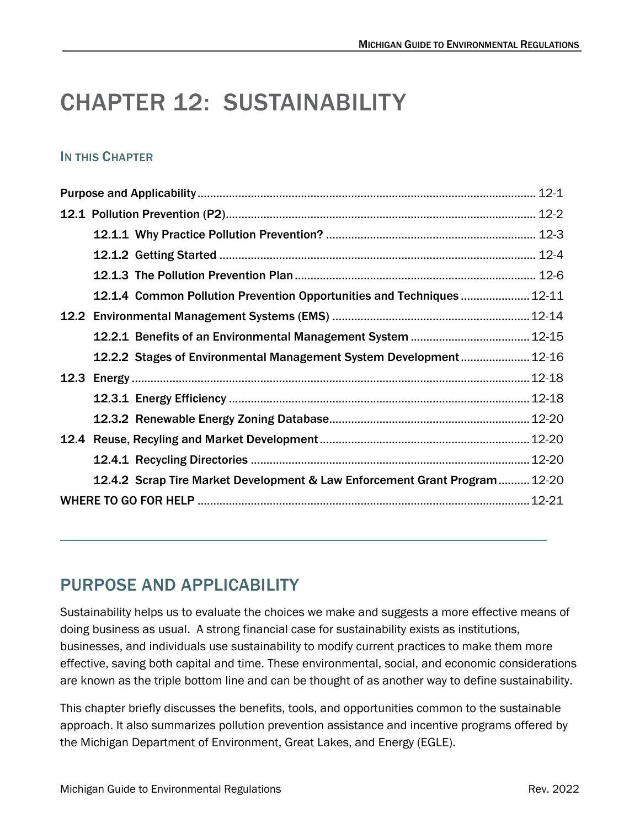# CHAPTER 12: SUSTAINABILITY

### IN THIS CHAPTER

|  | 12.1.4 Common Pollution Prevention Opportunities and Techniques  12-11     |       |
|--|----------------------------------------------------------------------------|-------|
|  |                                                                            |       |
|  |                                                                            |       |
|  | 12.2.2 Stages of Environmental Management System Development 12-16         |       |
|  |                                                                            |       |
|  |                                                                            | 12-18 |
|  |                                                                            |       |
|  |                                                                            |       |
|  |                                                                            | 12-20 |
|  | 12.4.2 Scrap Tire Market Development & Law Enforcement Grant Program 12-20 |       |
|  |                                                                            |       |

## <span id="page-0-0"></span>PURPOSE AND APPLICABILITY

Sustainability helps us to evaluate the choices we make and suggests a more effective means of doing business as usual. A strong financial case for sustainability exists as institutions, businesses, and individuals use sustainability to modify current practices to make them more effective, saving both capital and time. These environmental, social, and economic considerations are known as the triple bottom line and can be thought of as another way to define sustainability.

This chapter briefly discusses the benefits, tools, and opportunities common to the sustainable approach. It also summarizes pollution prevention assistance and incentive programs offered by the Michigan Department of Environment, Great Lakes, and Energy (EGLE).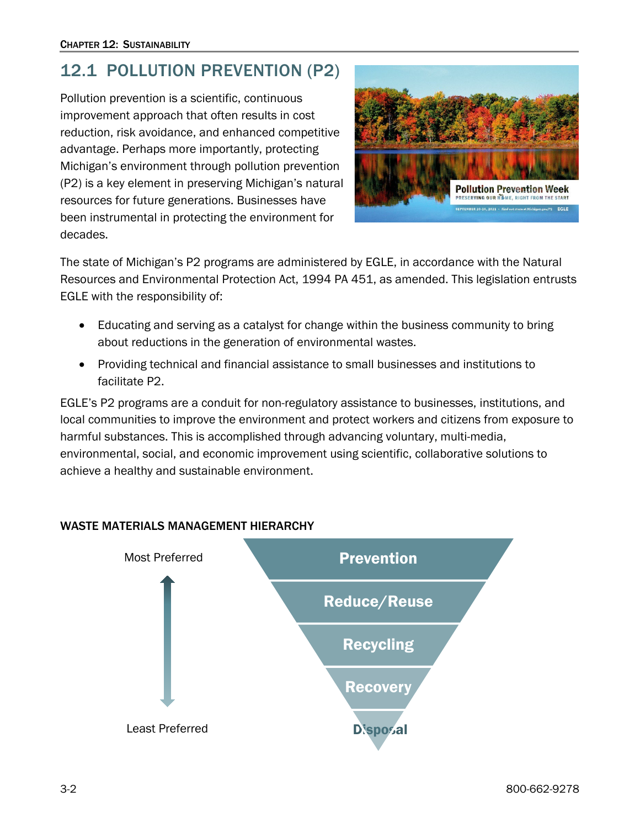## <span id="page-1-0"></span>12.1 POLLUTION PREVENTION (P2)

Pollution prevention is a scientific, continuous improvement approach that often results in cost reduction, risk avoidance, and enhanced competitive advantage. Perhaps more importantly, protecting Michigan's environment through pollution prevention (P2) is a key element in preserving Michigan's natural resources for future generations. Businesses have been instrumental in protecting the environment for decades.



The state of Michigan's P2 programs are administered by EGLE, in accordance with the Natural Resources and Environmental Protection Act, 1994 PA 451, as amended. This legislation entrusts EGLE with the responsibility of:

- Educating and serving as a catalyst for change within the business community to bring about reductions in the generation of environmental wastes.
- Providing technical and financial assistance to small businesses and institutions to facilitate P2.

EGLE's P2 programs are a conduit for non-regulatory assistance to businesses, institutions, and local communities to improve the environment and protect workers and citizens from exposure to harmful substances. This is accomplished through advancing voluntary, multi-media, environmental, social, and economic improvement using scientific, collaborative solutions to achieve a healthy and sustainable environment.



#### WASTE MATERIALS MANAGEMENT HIERARCHY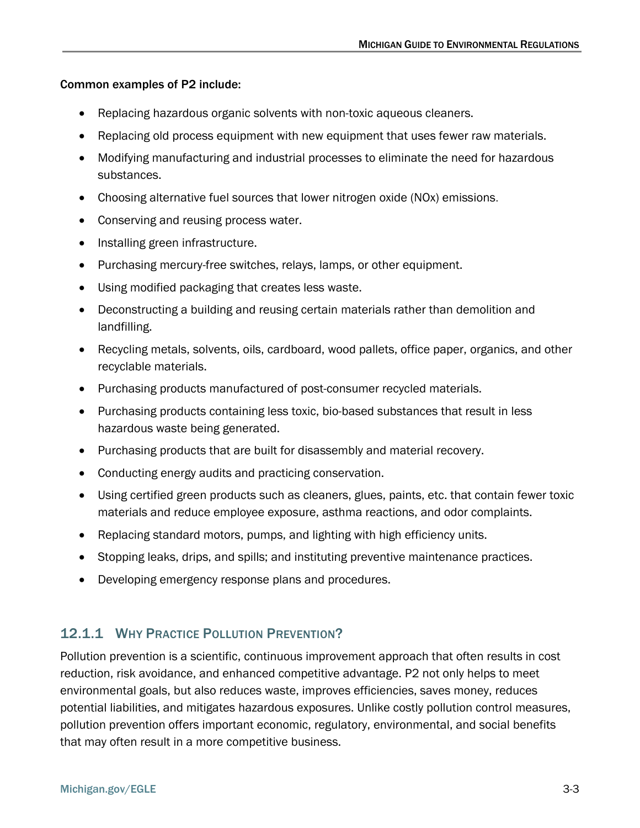#### Common examples of P2 include:

- Replacing hazardous organic solvents with non-toxic aqueous cleaners.
- Replacing old process equipment with new equipment that uses fewer raw materials.
- Modifying manufacturing and industrial processes to eliminate the need for hazardous substances.
- Choosing alternative fuel sources that lower nitrogen oxide (NOx) emissions.
- Conserving and reusing process water.
- Installing green infrastructure.
- Purchasing mercury-free switches, relays, lamps, or other equipment.
- Using modified packaging that creates less waste.
- Deconstructing a building and reusing certain materials rather than demolition and landfilling.
- Recycling metals, solvents, oils, cardboard, wood pallets, office paper, organics, and other recyclable materials.
- Purchasing products manufactured of post-consumer recycled materials.
- Purchasing products containing less toxic, bio-based substances that result in less hazardous waste being generated.
- Purchasing products that are built for disassembly and material recovery.
- Conducting energy audits and practicing conservation.
- Using certified green products such as cleaners, glues, paints, etc. that contain fewer toxic materials and reduce employee exposure, asthma reactions, and odor complaints.
- Replacing standard motors, pumps, and lighting with high efficiency units.
- Stopping leaks, drips, and spills; and instituting preventive maintenance practices.
- Developing emergency response plans and procedures.

### <span id="page-2-0"></span>12.1.1 WHY PRACTICE POLLUTION PREVENTION?

Pollution prevention is a scientific, continuous improvement approach that often results in cost reduction, risk avoidance, and enhanced competitive advantage. P2 not only helps to meet environmental goals, but also reduces waste, improves efficiencies, saves money, reduces potential liabilities, and mitigates hazardous exposures. Unlike costly pollution control measures, pollution prevention offers important economic, regulatory, environmental, and social benefits that may often result in a more competitive business.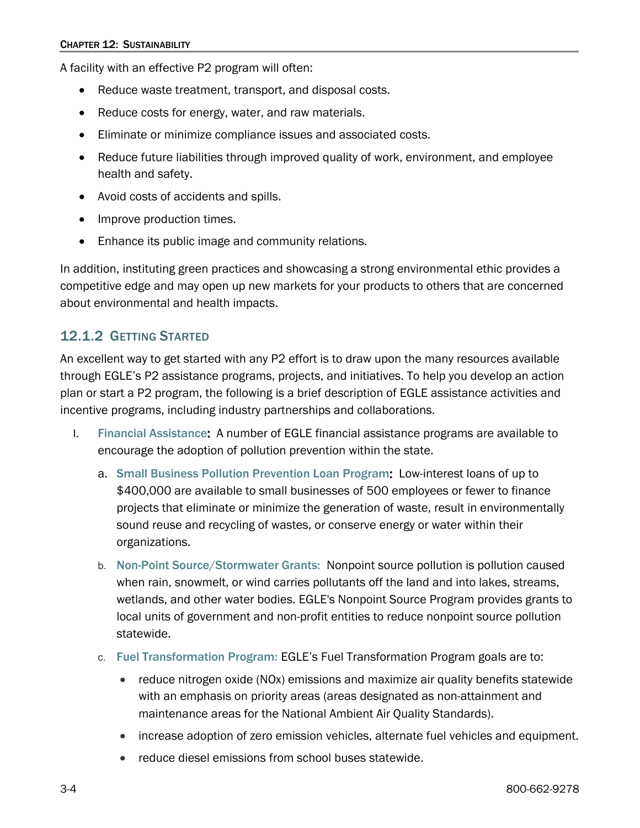A facility with an effective P2 program will often:

- Reduce waste treatment, transport, and disposal costs.
- Reduce costs for energy, water, and raw materials.
- Eliminate or minimize compliance issues and associated costs.
- Reduce future liabilities through improved quality of work, environment, and employee health and safety.
- Avoid costs of accidents and spills.
- Improve production times.
- Enhance its public image and community relations.

In addition, instituting green practices and showcasing a strong environmental ethic provides a competitive edge and may open up new markets for your products to others that are concerned about environmental and health impacts.

### <span id="page-3-0"></span>12.1.2 GETTING STARTED

An excellent way to get started with any P2 effort is to draw upon the many resources available through EGLE's P2 assistance programs, projects, and initiatives. To help you develop an action plan or start a P2 program, the following is a brief description of EGLE assistance activities and incentive programs, including industry partnerships and collaborations.

- I. [Financial Assistance](https://www.michigan.gov/egle/regulatory-assistance/grants-and-financing): A number of EGLE financial assistance programs are available to encourage the adoption of pollution prevention within the state.
	- a. [Small Business Pollution Prevention Loan Program](https://www.michigan.gov/egle/Regulatory-Assistance/Grants-and-Financing/small-business-pollution-prevention-loans): Low-interest loans of up to \$400,000 are available to small businesses of 500 employees or fewer to finance projects that eliminate or minimize the generation of waste, result in environmentally sound reuse and recycling of wastes, or conserve energy or water within their organizations.
	- b. [Non-Point Source/Stormwater Grants:](https://www.michigan.gov/egle/regulatory-assistance/grants-and-financing/federal-clean-water-act-section-319) Nonpoint source pollution is pollution caused when rain, snowmelt, or wind carries pollutants off the land and into lakes, streams, wetlands, and other water bodies. EGLE's Nonpoint Source Program provides grants to local units of government and non-profit entities to reduce nonpoint source pollution statewide.
	- c. [Fuel Transformation Program:](https://www.michigan.gov/egle/about/organization/Materials-Management/fuel-transformation-program) EGLE's Fuel Transformation Program goals are to:
		- reduce nitrogen oxide (NOx) emissions and maximize air quality benefits statewide with an emphasis on priority areas (areas designated as non-attainment and maintenance areas for the National Ambient Air Quality Standards).
		- increase adoption of zero emission vehicles, alternate fuel vehicles and equipment.
		- reduce diesel emissions from school buses statewide.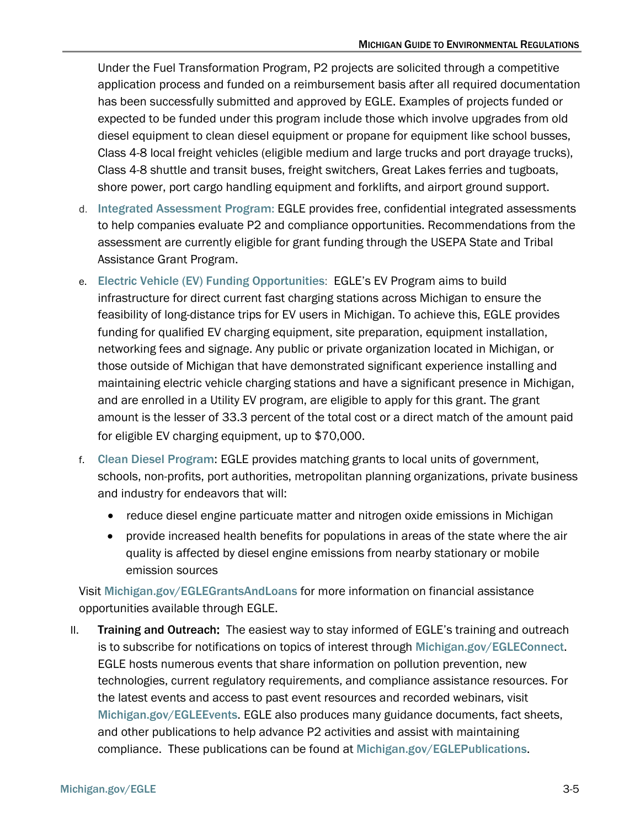Under the Fuel Transformation Program, P2 projects are solicited through a competitive application process and funded on a reimbursement basis after all required documentation has been successfully submitted and approved by EGLE. Examples of projects funded or expected to be funded under this program include those which involve upgrades from old diesel equipment to clean diesel equipment or propane for equipment like school busses, Class 4-8 local freight vehicles (eligible medium and large trucks and port drayage trucks), Class 4-8 shuttle and transit buses, freight switchers, Great Lakes ferries and tugboats, shore power, port cargo handling equipment and forklifts, and airport ground support.

- d. [Integrated Assessment Program:](https://www.michigan.gov/egle/about/organization/Materials-Management/integrated-assessment-program) EGLE provides free, confidential integrated assessments to help companies evaluate P2 and compliance opportunities. Recommendations from the assessment are currently eligible for grant funding through the USEPA State and Tribal Assistance Grant Program.
- e. [Electric Vehicle \(EV\) Funding Opportunities](https://www.michigan.gov/egle/about/organization/materials-management/energy/transportation/electric-vehicle-readiness): EGLE's EV Program aims to build infrastructure for direct current fast charging stations across Michigan to ensure the feasibility of long-distance trips for EV users in Michigan. To achieve this, EGLE provides funding for qualified EV charging equipment, site preparation, equipment installation, networking fees and signage. Any public or private organization located in Michigan, or those outside of Michigan that have demonstrated significant experience installing and maintaining electric vehicle charging stations and have a significant presence in Michigan, and are enrolled in a Utility EV program, are eligible to apply for this grant. The grant amount is the lesser of 33.3 percent of the total cost or a direct match of the amount paid for eligible EV charging equipment, up to \$70,000.
- f. [Clean Diesel Program](https://www.michigan.gov/egle/about/organization/Materials-Management/clean-diesel-initiative/clean-diesel-grants): EGLE provides matching grants to local units of government, schools, non-profits, port authorities, metropolitan planning organizations, private business and industry for endeavors that will:
	- reduce diesel engine particuate matter and nitrogen oxide emissions in Michigan
	- provide increased health benefits for populations in areas of the state where the air quality is affected by diesel engine emissions from nearby stationary or mobile emission sources

Visit [Michigan.gov/EGLEGrantsAndLoans](https://www.michigan.gov/egle/regulatory-assistance/grants-and-financing) for more information on financial assistance opportunities available through EGLE.

II. Training and Outreach: The easiest way to stay informed of EGLE's training and outreach is to subscribe for notifications on topics of interest through [Michigan.gov/EGLEConnect](https://www.michigan.gov/egle/outreach/connect). EGLE hosts numerous events that share information on pollution prevention, new technologies, current regulatory requirements, and compliance assistance resources. For the latest events and access to past event resources and recorded webinars, visit [Michigan.gov/EGLEEvents](http://www.michigan.gov/deq/0,1607,7-135-3308_3333---,00.html). EGLE also produces many guidance documents, fact sheets, and other publications to help advance P2 activities and assist with maintaining compliance. These publications can be found at [Michigan.gov/EGLEPublications](https://www.michigan.gov/egle/outreach/publications).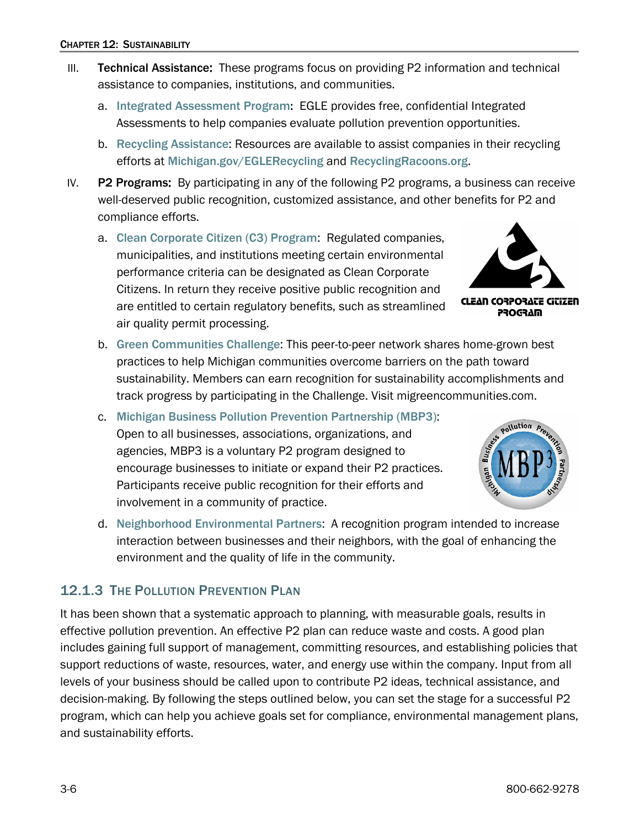- III. Technical Assistance: These programs focus on providing P2 information and technical assistance to companies, institutions, and communities.
	- a. [Integrated Assessment Program:](https://www.michigan.gov/egle/0,9429,7-135-70153_70155_70157-376055--,00.html) EGLE provides free, confidential Integrated Assessments to help companies evaluate pollution prevention opportunities.
	- b. [Recycling Assistance](http://www.michigan.gov/deq/0,4561,7-135-70153_69695---,00.html): Resources are available to assist companies in their recycling efforts at [Michigan.gov/EGLERecycling](https://www.michigan.gov/egle/public/learn/recycling) and [RecyclingRacoons.org](http://www.recyclingracoons.org/).
- IV. **P2 Programs:** By participating in any of the following P2 programs, a business can receive well-deserved public recognition, customized assistance, and other benefits for P2 and compliance efforts.
	- a. [Clean Corporate Citizen \(C3\) Program](https://www.michigan.gov/egle/about/organization/Materials-Management/c3): Regulated companies, municipalities, and institutions meeting certain environmental performance criteria can be designated as Clean Corporate Citizens. In return they receive positive public recognition and are entitled to certain regulatory benefits, such as streamlined air quality permit processing.



**CLEAN CORPORATE GITIZEN PROGRAM** 

- b. [Green Communities Challenge](https://migreencommunities.com/challenge/): This peer-to-peer network shares home-grown best practices to help Michigan communities overcome barriers on the path toward sustainability. Members can earn recognition for sustainability accomplishments and track progress by participating in the Challenge. Visit migreencommunities.com.
- c. [Michigan Business Pollution Prevention Partnership \(MBP3\)](https://www.michigan.gov/egle/about/organization/Materials-Management/mbp3): Open to all businesses, associations, organizations, and agencies, MBP3 is a voluntary P2 program designed to encourage businesses to initiate or expand their P2 practices. Participants receive public recognition for their efforts and involvement in a community of practice.



d. [Neighborhood Environmental Partners](https://www.michigan.gov/egle/about/organization/materials-management/pollution-prevention/neighborhood-environmental-partners-program): A recognition program intended to increase interaction between businesses and their neighbors, with the goal of enhancing the environment and the quality of life in the community.

### <span id="page-5-0"></span>12.1.3 THE POLLUTION PREVENTION PLAN

It has been shown that a systematic approach to planning, with measurable goals, results in effective pollution prevention. An effective P2 plan can reduce waste and costs. A good plan includes gaining full support of management, committing resources, and establishing policies that support reductions of waste, resources, water, and energy use within the company. Input from all levels of your business should be called upon to contribute P2 ideas, technical assistance, and decision-making. By following the steps outlined below, you can set the stage for a successful P2 program, which can help you achieve goals set for compliance, environmental management plans, and sustainability efforts.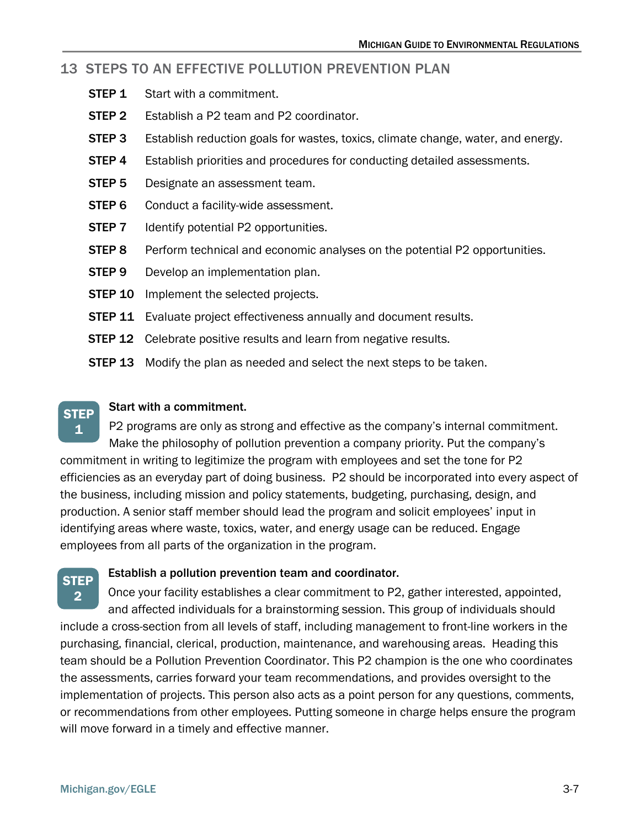#### 13 STEPS TO AN EFFECTIVE POLLUTION PREVENTION PLAN

- **STEP 1** Start with a commitment.
- **STEP 2** Establish a P2 team and P2 coordinator.
- **STEP 3** Establish reduction goals for wastes, toxics, climate change, water, and energy.
- **STEP 4** Establish priorities and procedures for conducting detailed assessments.
- **STEP 5** Designate an assessment team.
- **STEP 6** Conduct a facility-wide assessment.
- **STEP 7** Identify potential P2 opportunities.
- **STEP 8** Perform technical and economic analyses on the potential P2 opportunities.
- **STEP 9** Develop an implementation plan.
- **STEP 10** Implement the selected projects.
- **STEP 11** Evaluate project effectiveness annually and document results.
- **STEP 12** Celebrate positive results and learn from negative results.
- **STEP 13** Modify the plan as needed and select the next steps to be taken.

#### Start with a commitment. **STEP**

P2 programs are only as strong and effective as the company's internal commitment. Make the philosophy of pollution prevention a company priority. Put the company's commitment in writing to legitimize the program with employees and set the tone for P2 efficiencies as an everyday part of doing business. P2 should be incorporated into every aspect of the business, including mission and policy statements, budgeting, purchasing, design, and production. A senior staff member should lead the program and solicit employees' input in identifying areas where waste, toxics, water, and energy usage can be reduced. Engage employees from all parts of the organization in the program. 1

### **STEP** 2

#### Establish a pollution prevention team and coordinator.

Once your facility establishes a clear commitment to P2, gather interested, appointed, and affected individuals for a brainstorming session. This group of individuals should include a cross-section from all levels of staff, including management to front-line workers in the purchasing, financial, clerical, production, maintenance, and warehousing areas. Heading this team should be a Pollution Prevention Coordinator. This P2 champion is the one who coordinates the assessments, carries forward your team recommendations, and provides oversight to the implementation of projects. This person also acts as a point person for any questions, comments, or recommendations from other employees. Putting someone in charge helps ensure the program will move forward in a timely and effective manner.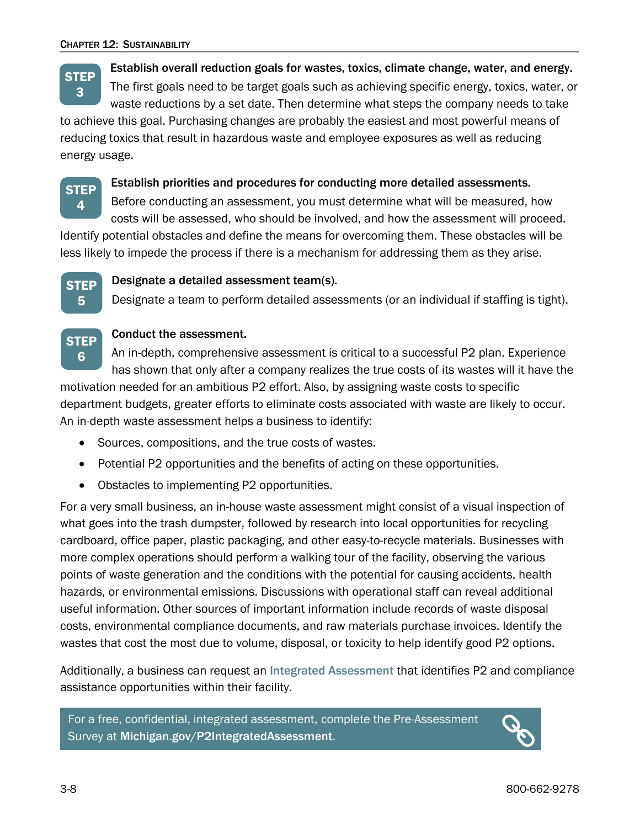Establish overall reduction goals for wastes, toxics, climate change, water, and energy.

The first goals need to be target goals such as achieving specific energy, toxics, water, or waste reductions by a set date. Then determine what steps the company needs to take **STEP** 

to achieve this goal. Purchasing changes are probably the easiest and most powerful means of reducing toxics that result in hazardous waste and employee exposures as well as reducing energy usage.



3

#### Establish priorities and procedures for conducting more detailed assessments.

Before conducting an assessment, you must determine what will be measured, how costs will be assessed, who should be involved, and how the assessment will proceed.

Identify potential obstacles and define the means for overcoming them. These obstacles will be less likely to impede the process if there is a mechanism for addressing them as they arise.



#### Designate a detailed assessment team(s).

Designate a team to perform detailed assessments (or an individual if staffing is tight).



#### Conduct the assessment.

An in-depth, comprehensive assessment is critical to a successful P2 plan. Experience has shown that only after a company realizes the true costs of its wastes will it have the

motivation needed for an ambitious P2 effort. Also, by assigning waste costs to specific department budgets, greater efforts to eliminate costs associated with waste are likely to occur. An in-depth waste assessment helps a business to identify:

- Sources, compositions, and the true costs of wastes.
- Potential P2 opportunities and the benefits of acting on these opportunities.
- Obstacles to implementing P2 opportunities.

For a very small business, an in-house waste assessment might consist of a visual inspection of what goes into the trash dumpster, followed by research into local opportunities for recycling cardboard, office paper, plastic packaging, and other easy-to-recycle materials. Businesses with more complex operations should perform a walking tour of the facility, observing the various points of waste generation and the conditions with the potential for causing accidents, health hazards, or environmental emissions. Discussions with operational staff can reveal additional useful information. Other sources of important information include records of waste disposal costs, environmental compliance documents, and raw materials purchase invoices. Identify the wastes that cost the most due to volume, disposal, or toxicity to help identify good P2 options.

Additionally, a business can request an [Integrated Assessment](https://www.michigan.gov/egle/about/organization/Materials-Management/integrated-assessment-program) that identifies P2 and compliance assistance opportunities within their facility.

For a free, confidential, integrated assessment, complete the [Pre-Assessment](https://www.surveymonkey.com/r/PX7CNY6)  [Survey](https://www.surveymonkey.com/r/PX7CNY6) at [Michigan.gov/P2IntegratedAssessment.](http://www.michigan.gov/P2IntegratedAssessment)

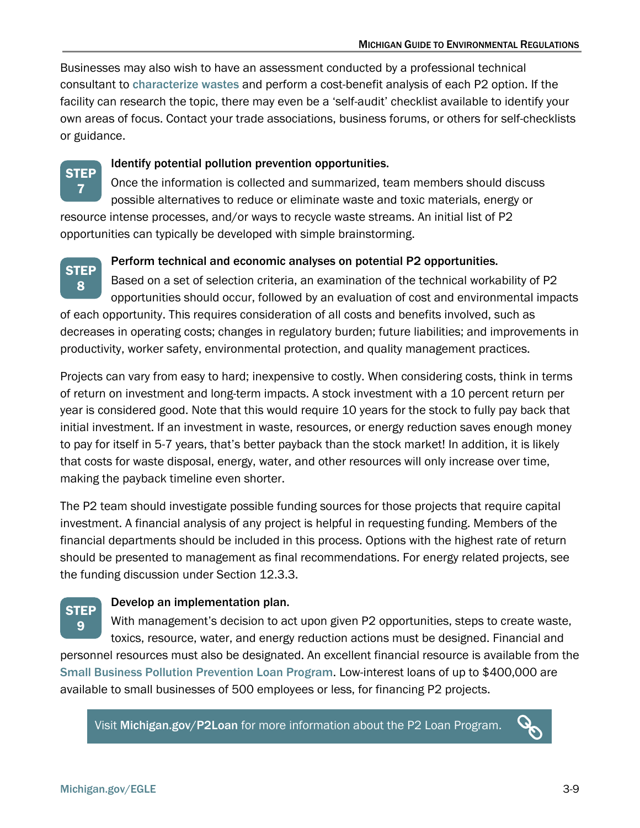Businesses may also wish to have an assessment conducted by a professional technical consultant to [characterize wastes](https://www.michigan.gov/-/media/Project/Websites/egle/Documents/Programs/MMD/Waste-Characterization.pdf?rev=be6de562c275492c998188207acf41ab) and perform a cost-benefit analysis of each P2 option. If the facility can research the topic, there may even be a 'self-audit' checklist available to identify your own areas of focus. Contact your trade associations, business forums, or others for self-checklists or guidance.



#### Identify potential pollution prevention opportunities.

Once the information is collected and summarized, team members should discuss possible alternatives to reduce or eliminate waste and toxic materials, energy or resource intense processes, and/or ways to recycle waste streams. An initial list of P2 opportunities can typically be developed with simple brainstorming.



#### Perform technical and economic analyses on potential P2 opportunities.

Based on a set of selection criteria, an examination of the technical workability of P2 opportunities should occur, followed by an evaluation of cost and environmental impacts of each opportunity. This requires consideration of all costs and benefits involved, such as decreases in operating costs; changes in regulatory burden; future liabilities; and improvements in productivity, worker safety, environmental protection, and quality management practices.

Projects can vary from easy to hard; inexpensive to costly. When considering costs, think in terms of return on investment and long-term impacts. A stock investment with a 10 percent return per year is considered good. Note that this would require 10 years for the stock to fully pay back that initial investment. If an investment in waste, resources, or energy reduction saves enough money to pay for itself in 5-7 years, that's better payback than the stock market! In addition, it is likely that costs for waste disposal, energy, water, and other resources will only increase over time, making the payback timeline even shorter.

The P2 team should investigate possible funding sources for those projects that require capital investment. A financial analysis of any project is helpful in requesting funding. Members of the financial departments should be included in this process. Options with the highest rate of return should be presented to management as final recommendations. For energy related projects, see the funding discussion under Section 12.3.3.

### Develop an implementation plan.

With management's decision to act upon given P2 opportunities, steps to create waste, toxics, resource, water, and energy reduction actions must be designed. Financial and personnel resources must also be designated. An excellent financial resource is available from the [Small Business Pollution Prevention Loan Program](https://www.michigan.gov/egle/Regulatory-Assistance/Grants-and-Financing/small-business-pollution-prevention-loans). Low-interest loans of up to \$400,000 are 9

available to small businesses of 500 employees or less, for financing P2 projects.

Visit [Michigan.gov/P2Loan](http://www.michigan.gov/P2Loan) for more information about the P2 Loan Program.

**STEP** 

 $\boldsymbol{Q}$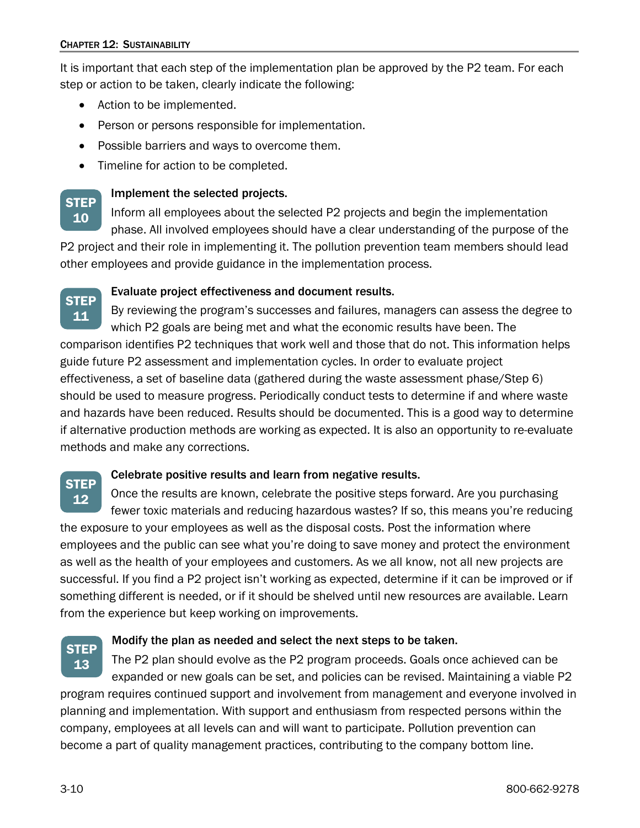**STEP** 10

**STEP** 

It is important that each step of the implementation plan be approved by the P2 team. For each step or action to be taken, clearly indicate the following:

- Action to be implemented.
- Person or persons responsible for implementation.
- Possible barriers and ways to overcome them.
- Timeline for action to be completed.

### Implement the selected projects.

Inform all employees about the selected P2 projects and begin the implementation phase. All involved employees should have a clear understanding of the purpose of the

P2 project and their role in implementing it. The pollution prevention team members should lead other employees and provide guidance in the implementation process.

#### Evaluate project effectiveness and document results.

By reviewing the program's successes and failures, managers can assess the degree to which P2 goals are being met and what the economic results have been. The comparison identifies P2 techniques that work well and those that do not. This information helps guide future P2 assessment and implementation cycles. In order to evaluate project effectiveness, a set of baseline data (gathered during the waste assessment phase/Step 6) should be used to measure progress. Periodically conduct tests to determine if and where waste and hazards have been reduced. Results should be documented. This is a good way to determine if alternative production methods are working as expected. It is also an opportunity to re-evaluate methods and make any corrections. 11

#### Celebrate positive results and learn from negative results.

Once the results are known, celebrate the positive steps forward. Are you purchasing fewer toxic materials and reducing hazardous wastes? If so, this means you're reducing the exposure to your employees as well as the disposal costs. Post the information where employees and the public can see what you're doing to save money and protect the environment as well as the health of your employees and customers. As we all know, not all new projects are successful. If you find a P2 project isn't working as expected, determine if it can be improved or if something different is needed, or if it should be shelved until new resources are available. Learn from the experience but keep working on improvements. **STEP** 12



#### Modify the plan as needed and select the next steps to be taken.

The P2 plan should evolve as the P2 program proceeds. Goals once achieved can be expanded or new goals can be set, and policies can be revised. Maintaining a viable P2 program requires continued support and involvement from management and everyone involved in planning and implementation. With support and enthusiasm from respected persons within the company, employees at all levels can and will want to participate. Pollution prevention can become a part of quality management practices, contributing to the company bottom line.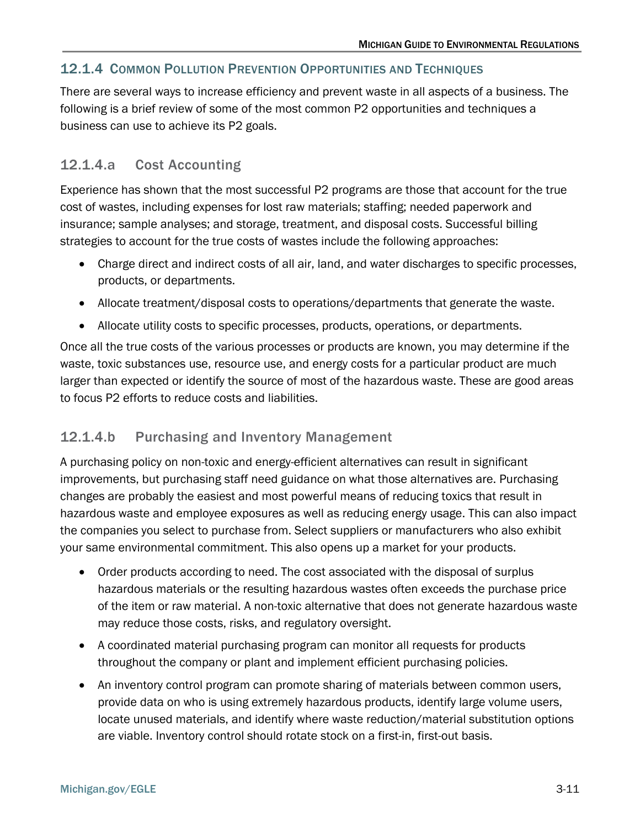### <span id="page-10-0"></span>12.1.4 COMMON POLLUTION PREVENTION OPPORTUNITIES AND TECHNIQUES

There are several ways to increase efficiency and prevent waste in all aspects of a business. The following is a brief review of some of the most common P2 opportunities and techniques a business can use to achieve its P2 goals.

### 12.1.4.a Cost Accounting

Experience has shown that the most successful P2 programs are those that account for the true cost of wastes, including expenses for lost raw materials; staffing; needed paperwork and insurance; sample analyses; and storage, treatment, and disposal costs. Successful billing strategies to account for the true costs of wastes include the following approaches:

- Charge direct and indirect costs of all air, land, and water discharges to specific processes, products, or departments.
- Allocate treatment/disposal costs to operations/departments that generate the waste.
- Allocate utility costs to specific processes, products, operations, or departments.

Once all the true costs of the various processes or products are known, you may determine if the waste, toxic substances use, resource use, and energy costs for a particular product are much larger than expected or identify the source of most of the hazardous waste. These are good areas to focus P2 efforts to reduce costs and liabilities.

### 12.1.4.b Purchasing and Inventory Management

A purchasing policy on non-toxic and energy-efficient alternatives can result in significant improvements, but purchasing staff need guidance on what those alternatives are. Purchasing changes are probably the easiest and most powerful means of reducing toxics that result in hazardous waste and employee exposures as well as reducing energy usage. This can also impact the companies you select to purchase from. Select suppliers or manufacturers who also exhibit your same environmental commitment. This also opens up a market for your products.

- Order products according to need. The cost associated with the disposal of surplus hazardous materials or the resulting hazardous wastes often exceeds the purchase price of the item or raw material. A non-toxic alternative that does not generate hazardous waste may reduce those costs, risks, and regulatory oversight.
- A coordinated material purchasing program can monitor all requests for products throughout the company or plant and implement efficient purchasing policies.
- An inventory control program can promote sharing of materials between common users, provide data on who is using extremely hazardous products, identify large volume users, locate unused materials, and identify where waste reduction/material substitution options are viable. Inventory control should rotate stock on a first-in, first-out basis.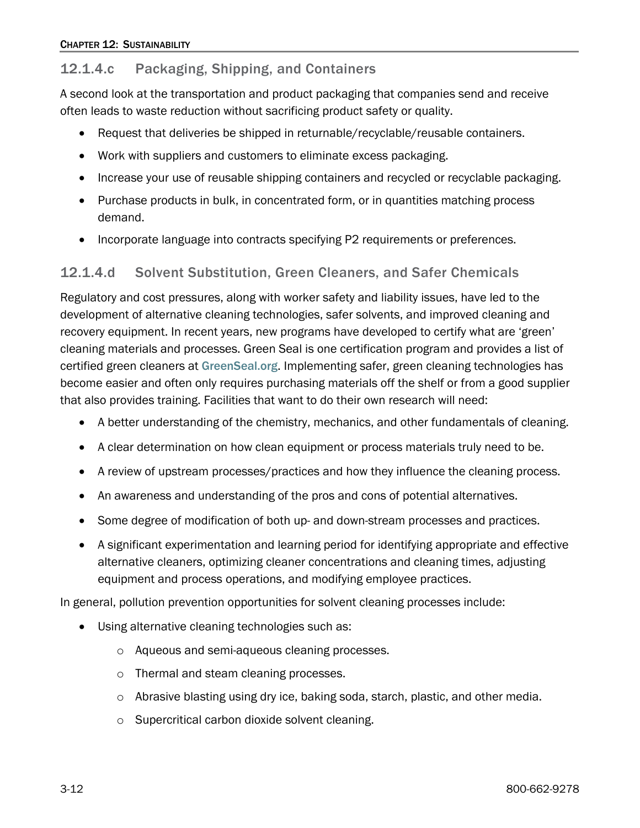### 12.1.4.c Packaging, Shipping, and Containers

A second look at the transportation and product packaging that companies send and receive often leads to waste reduction without sacrificing product safety or quality.

- Request that deliveries be shipped in returnable/recyclable/reusable containers.
- Work with suppliers and customers to eliminate excess packaging.
- Increase your use of reusable shipping containers and recycled or recyclable packaging.
- Purchase products in bulk, in concentrated form, or in quantities matching process demand.
- Incorporate language into contracts specifying P2 requirements or preferences.

#### 12.1.4.d Solvent Substitution, Green Cleaners, and Safer Chemicals

Regulatory and cost pressures, along with worker safety and liability issues, have led to the development of alternative cleaning technologies, safer solvents, and improved cleaning and recovery equipment. In recent years, new programs have developed to certify what are 'green' cleaning materials and processes. Green Seal is one certification program and provides a list of certified green cleaners at [GreenSeal.org](https://greenseal.org/splash/). Implementing safer, green cleaning technologies has become easier and often only requires purchasing materials off the shelf or from a good supplier that also provides training. Facilities that want to do their own research will need:

- A better understanding of the chemistry, mechanics, and other fundamentals of cleaning.
- A clear determination on how clean equipment or process materials truly need to be.
- A review of upstream processes/practices and how they influence the cleaning process.
- An awareness and understanding of the pros and cons of potential alternatives.
- Some degree of modification of both up- and down-stream processes and practices.
- A significant experimentation and learning period for identifying appropriate and effective alternative cleaners, optimizing cleaner concentrations and cleaning times, adjusting equipment and process operations, and modifying employee practices.

In general, pollution prevention opportunities for solvent cleaning processes include:

- Using alternative cleaning technologies such as:
	- o Aqueous and semi-aqueous cleaning processes.
	- o Thermal and steam cleaning processes.
	- $\circ$  Abrasive blasting using dry ice, baking soda, starch, plastic, and other media.
	- o Supercritical carbon dioxide solvent cleaning.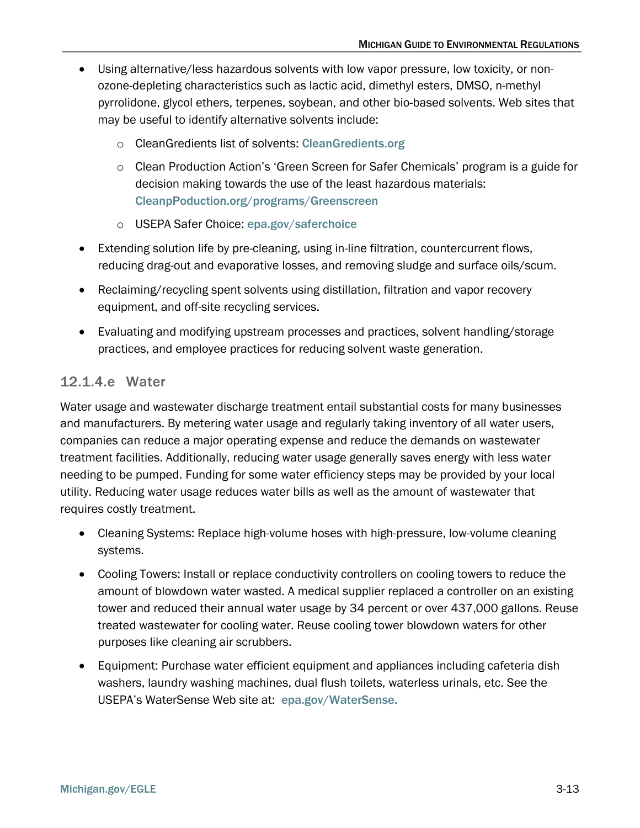- Using alternative/less hazardous solvents with low vapor pressure, low toxicity, or nonozone-depleting characteristics such as lactic acid, dimethyl esters, DMSO, n-methyl pyrrolidone, glycol ethers, terpenes, soybean, and other bio-based solvents. Web sites that may be useful to identify alternative solvents include:
	- o CleanGredients list of solvents: [CleanGredients.org](http://www.cleangredients.org/)
	- o Clean Production Action's 'Green Screen for Safer Chemicals' program is a guide for decision making towards the use of the least hazardous materials: [CleanpPoduction.org/programs/Greenscreen](https://www.cleanproduction.org/programs/greenscreen)
	- o USEPA Safer Choice: [epa.gov/saferchoice](http://www.epa.gov/saferchoice)
- Extending solution life by pre-cleaning, using in-line filtration, countercurrent flows, reducing drag-out and evaporative losses, and removing sludge and surface oils/scum.
- Reclaiming/recycling spent solvents using distillation, filtration and vapor recovery equipment, and off-site recycling services.
- Evaluating and modifying upstream processes and practices, solvent handling/storage practices, and employee practices for reducing solvent waste generation.

### 12.1.4.e Water

Water usage and wastewater discharge treatment entail substantial costs for many businesses and manufacturers. By metering water usage and regularly taking inventory of all water users, companies can reduce a major operating expense and reduce the demands on wastewater treatment facilities. Additionally, reducing water usage generally saves energy with less water needing to be pumped. Funding for some water efficiency steps may be provided by your local utility. Reducing water usage reduces water bills as well as the amount of wastewater that requires costly treatment.

- Cleaning Systems: Replace high-volume hoses with high-pressure, low-volume cleaning systems.
- Cooling Towers: Install or replace conductivity controllers on cooling towers to reduce the amount of blowdown water wasted. A medical supplier replaced a controller on an existing tower and reduced their annual water usage by 34 percent or over 437,000 gallons. Reuse treated wastewater for cooling water. Reuse cooling tower blowdown waters for other purposes like cleaning air scrubbers.
- Equipment: Purchase water efficient equipment and appliances including cafeteria dish washers, laundry washing machines, dual flush toilets, waterless urinals, etc. See the USEPA's WaterSense Web site at: [epa.gov/WaterSense.](https://www.epa.gov/watersense)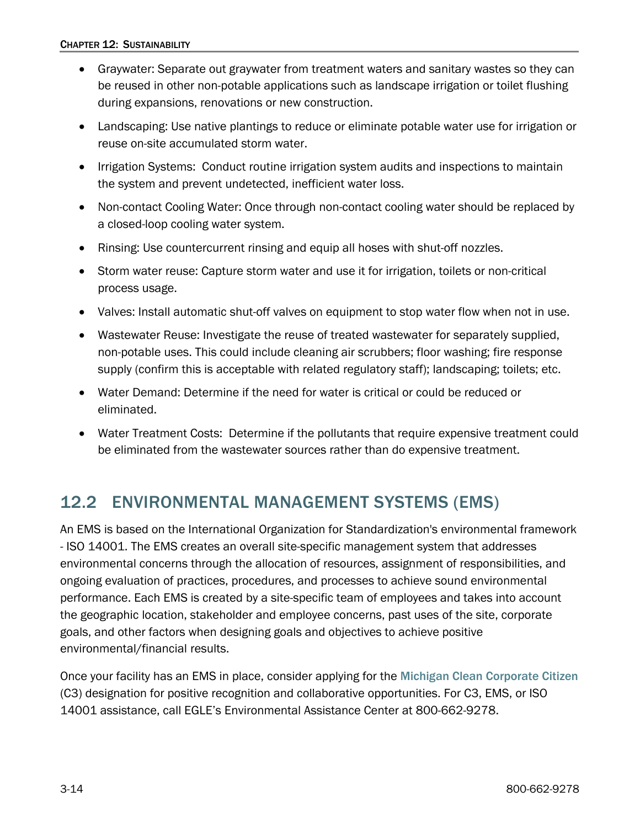- Graywater: Separate out graywater from treatment waters and sanitary wastes so they can be reused in other non-potable applications such as landscape irrigation or toilet flushing during expansions, renovations or new construction.
- Landscaping: Use native plantings to reduce or eliminate potable water use for irrigation or reuse on-site accumulated storm water.
- Irrigation Systems: Conduct routine irrigation system audits and inspections to maintain the system and prevent undetected, inefficient water loss.
- Non-contact Cooling Water: Once through non-contact cooling water should be replaced by a closed-loop cooling water system.
- Rinsing: Use countercurrent rinsing and equip all hoses with shut-off nozzles.
- Storm water reuse: Capture storm water and use it for irrigation, toilets or non-critical process usage.
- Valves: Install automatic shut-off valves on equipment to stop water flow when not in use.
- Wastewater Reuse: Investigate the reuse of treated wastewater for separately supplied, non-potable uses. This could include cleaning air scrubbers; floor washing; fire response supply (confirm this is acceptable with related regulatory staff); landscaping; toilets; etc.
- Water Demand: Determine if the need for water is critical or could be reduced or eliminated.
- Water Treatment Costs: Determine if the pollutants that require expensive treatment could be eliminated from the wastewater sources rather than do expensive treatment.

## <span id="page-13-0"></span>12.2 ENVIRONMENTAL MANAGEMENT SYSTEMS (EMS)

An EMS is based on the International Organization for Standardization's environmental framework - ISO 14001. The EMS creates an overall site-specific management system that addresses environmental concerns through the allocation of resources, assignment of responsibilities, and ongoing evaluation of practices, procedures, and processes to achieve sound environmental performance. Each EMS is created by a site-specific team of employees and takes into account the geographic location, stakeholder and employee concerns, past uses of the site, corporate goals, and other factors when designing goals and objectives to achieve positive environmental/financial results.

Once your facility has an EMS in place, consider applying for the [Michigan Clean Corporate Citizen](https://www.michigan.gov/egle/about/organization/Materials-Management/c3) (C3) designation for positive recognition and collaborative opportunities. For C3, EMS, or ISO 14001 assistance, call EGLE's Environmental Assistance Center at 800-662-9278.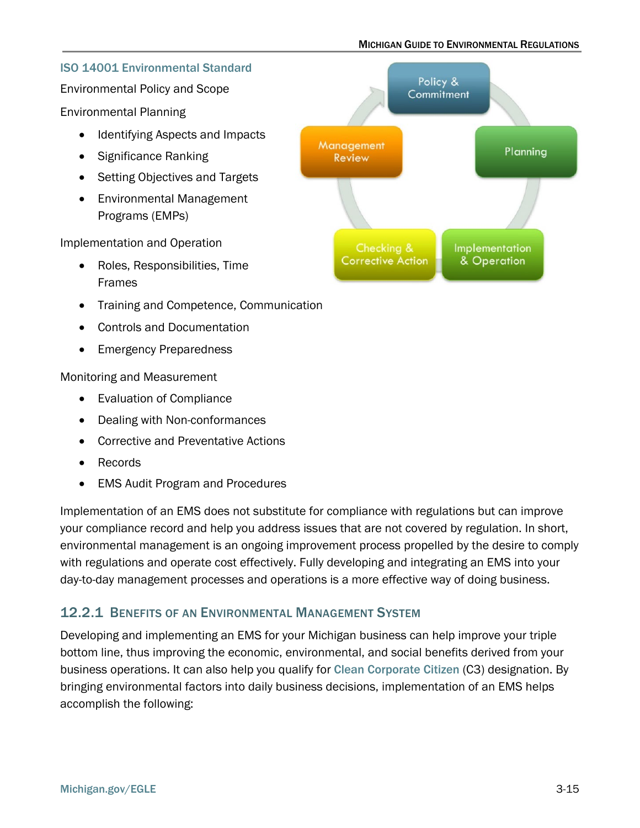#### MICHIGAN GUIDE TO ENVIRONMENTAL REGULATIONS

#### [ISO 14001 Environmental Standard](https://www.iso.org/iso-14001-environmental-management.html)

Environmental Policy and Scope

Environmental Planning

- Identifying Aspects and Impacts
- Significance Ranking
- Setting Objectives and Targets
- Environmental Management Programs (EMPs)

Implementation and Operation

- Roles, Responsibilities, Time Frames
- Training and Competence, Communication
- Controls and Documentation
- Emergency Preparedness

Monitoring and Measurement

- Evaluation of Compliance
- Dealing with Non-conformances
- Corrective and Preventative Actions
- Records
- EMS Audit Program and Procedures

Implementation of an EMS does not substitute for compliance with regulations but can improve your compliance record and help you address issues that are not covered by regulation. In short, environmental management is an ongoing improvement process propelled by the desire to comply with regulations and operate cost effectively. Fully developing and integrating an EMS into your day-to-day management processes and operations is a more effective way of doing business.

### <span id="page-14-0"></span>12.2.1 BENEFITS OF AN ENVIRONMENTAL MANAGEMENT SYSTEM

Developing and implementing an EMS for your Michigan business can help improve your triple bottom line, thus improving the economic, environmental, and social benefits derived from your business operations. It can also help you qualify for [Clean Corporate Citizen](https://www.michigan.gov/egle/about/organization/Materials-Management/c3) (C3) designation. By bringing environmental factors into daily business decisions, implementation of an EMS helps accomplish the following:

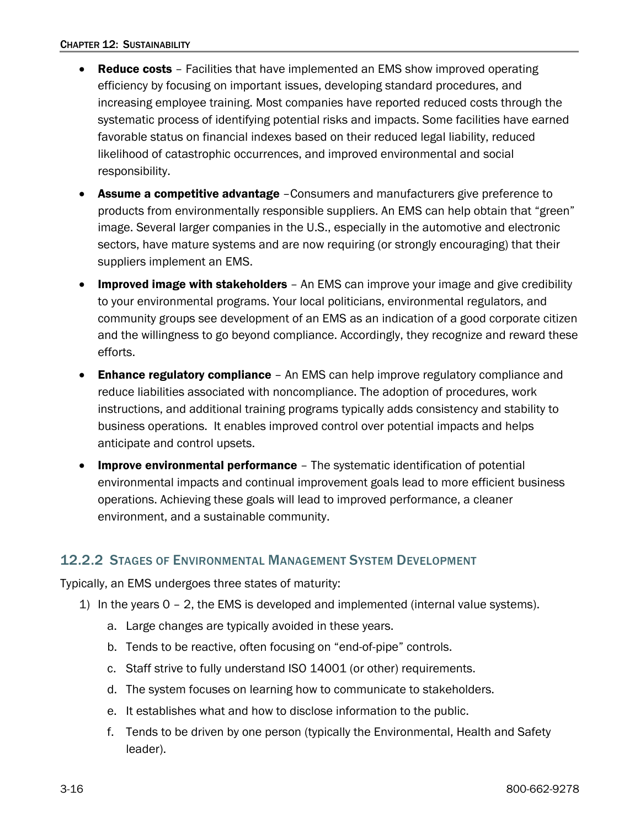- Reduce costs Facilities that have implemented an EMS show improved operating efficiency by focusing on important issues, developing standard procedures, and increasing employee training. Most companies have reported reduced costs through the systematic process of identifying potential risks and impacts. Some facilities have earned favorable status on financial indexes based on their reduced legal liability, reduced likelihood of catastrophic occurrences, and improved environmental and social responsibility.
- **Assume a competitive advantage** Consumers and manufacturers give preference to products from environmentally responsible suppliers. An EMS can help obtain that "green" image. Several larger companies in the U.S., especially in the automotive and electronic sectors, have mature systems and are now requiring (or strongly encouraging) that their suppliers implement an EMS.
- Improved image with stakeholders An EMS can improve your image and give credibility to your environmental programs. Your local politicians, environmental regulators, and community groups see development of an EMS as an indication of a good corporate citizen and the willingness to go beyond compliance. Accordingly, they recognize and reward these efforts.
- Enhance regulatory compliance An EMS can help improve regulatory compliance and reduce liabilities associated with noncompliance. The adoption of procedures, work instructions, and additional training programs typically adds consistency and stability to business operations. It enables improved control over potential impacts and helps anticipate and control upsets.
- Improve environmental performance The systematic identification of potential environmental impacts and continual improvement goals lead to more efficient business operations. Achieving these goals will lead to improved performance, a cleaner environment, and a sustainable community.

### <span id="page-15-0"></span>12.2.2 STAGES OF ENVIRONMENTAL MANAGEMENT SYSTEM DEVELOPMENT

Typically, an EMS undergoes three states of maturity:

- 1) In the years 0 2, the EMS is developed and implemented (internal value systems).
	- a. Large changes are typically avoided in these years.
	- b. Tends to be reactive, often focusing on "end-of-pipe" controls.
	- c. Staff strive to fully understand ISO 14001 (or other) requirements.
	- d. The system focuses on learning how to communicate to stakeholders.
	- e. It establishes what and how to disclose information to the public.
	- f. Tends to be driven by one person (typically the Environmental, Health and Safety leader).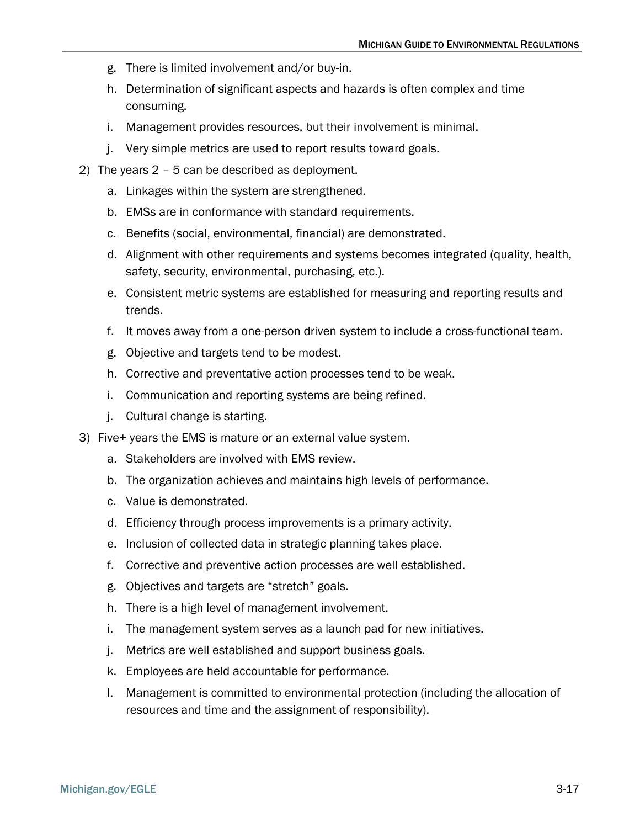- g. There is limited involvement and/or buy-in.
- h. Determination of significant aspects and hazards is often complex and time consuming.
- i. Management provides resources, but their involvement is minimal.
- j. Very simple metrics are used to report results toward goals.
- 2) The years 2 5 can be described as deployment.
	- a. Linkages within the system are strengthened.
	- b. EMSs are in conformance with standard requirements.
	- c. Benefits (social, environmental, financial) are demonstrated.
	- d. Alignment with other requirements and systems becomes integrated (quality, health, safety, security, environmental, purchasing, etc.).
	- e. Consistent metric systems are established for measuring and reporting results and trends.
	- f. It moves away from a one-person driven system to include a cross-functional team.
	- g. Objective and targets tend to be modest.
	- h. Corrective and preventative action processes tend to be weak.
	- i. Communication and reporting systems are being refined.
	- j. Cultural change is starting.
- 3) Five+ years the EMS is mature or an external value system.
	- a. Stakeholders are involved with EMS review.
	- b. The organization achieves and maintains high levels of performance.
	- c. Value is demonstrated.
	- d. Efficiency through process improvements is a primary activity.
	- e. Inclusion of collected data in strategic planning takes place.
	- f. Corrective and preventive action processes are well established.
	- g. Objectives and targets are "stretch" goals.
	- h. There is a high level of management involvement.
	- i. The management system serves as a launch pad for new initiatives.
	- j. Metrics are well established and support business goals.
	- k. Employees are held accountable for performance.
	- l. Management is committed to environmental protection (including the allocation of resources and time and the assignment of responsibility).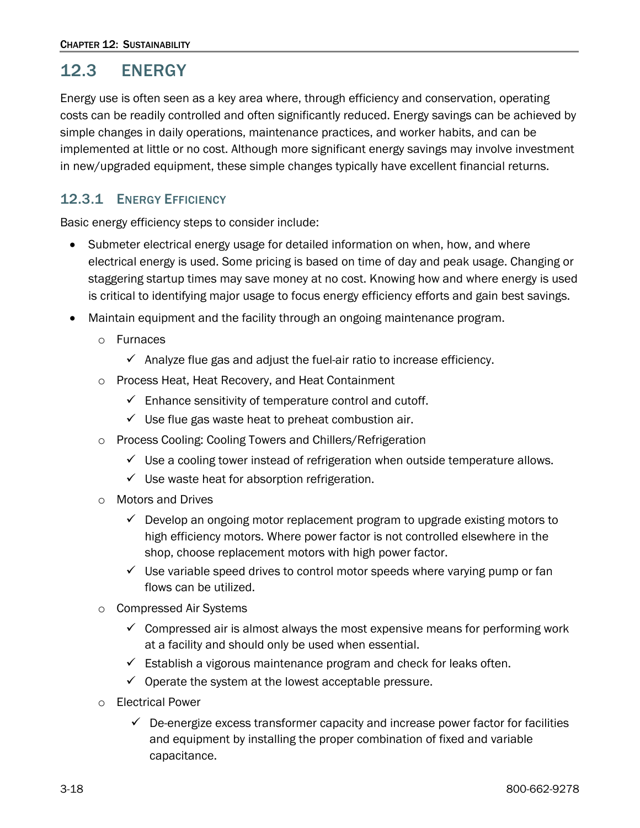## <span id="page-17-0"></span>12.3 ENERGY

Energy use is often seen as a key area where, through efficiency and conservation, operating costs can be readily controlled and often significantly reduced. Energy savings can be achieved by simple changes in daily operations, maintenance practices, and worker habits, and can be implemented at little or no cost. Although more significant energy savings may involve investment in new/upgraded equipment, these simple changes typically have excellent financial returns.

### <span id="page-17-1"></span>12.3.1 ENERGY EFFICIENCY

Basic energy efficiency steps to consider include:

- Submeter electrical energy usage for detailed information on when, how, and where electrical energy is used. Some pricing is based on time of day and peak usage. Changing or staggering startup times may save money at no cost. Knowing how and where energy is used is critical to identifying major usage to focus energy efficiency efforts and gain best savings.
- Maintain equipment and the facility through an ongoing maintenance program.
	- o Furnaces
		- $\checkmark$  Analyze flue gas and adjust the fuel-air ratio to increase efficiency.
	- o Process Heat, Heat Recovery, and Heat Containment
		- $\checkmark$  Enhance sensitivity of temperature control and cutoff.
		- $\checkmark$  Use flue gas waste heat to preheat combustion air.
	- o Process Cooling: Cooling Towers and Chillers/Refrigeration
		- $\checkmark$  Use a cooling tower instead of refrigeration when outside temperature allows.
		- $\checkmark$  Use waste heat for absorption refrigeration.
	- o Motors and Drives
		- $\checkmark$  Develop an ongoing motor replacement program to upgrade existing motors to high efficiency motors. Where power factor is not controlled elsewhere in the shop, choose replacement motors with high power factor.
		- $\checkmark$  Use variable speed drives to control motor speeds where varying pump or fan flows can be utilized.
	- o Compressed Air Systems
		- $\checkmark$  Compressed air is almost always the most expensive means for performing work at a facility and should only be used when essential.
		- $\checkmark$  Establish a vigorous maintenance program and check for leaks often.
		- $\checkmark$  Operate the system at the lowest acceptable pressure.
	- o Electrical Power
		- $\checkmark$  De-energize excess transformer capacity and increase power factor for facilities and equipment by installing the proper combination of fixed and variable capacitance.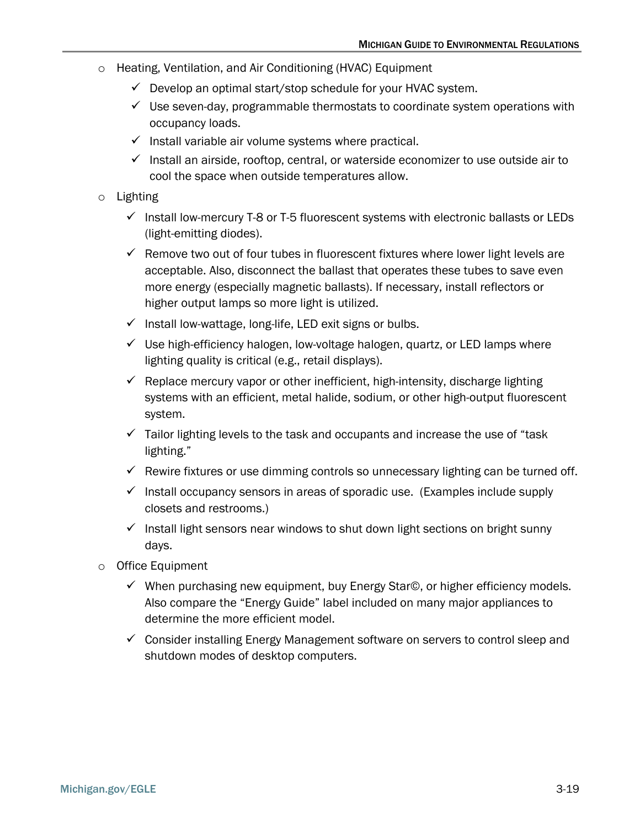- o Heating, Ventilation, and Air Conditioning (HVAC) Equipment
	- $\checkmark$  Develop an optimal start/stop schedule for your HVAC system.
	- $\checkmark$  Use seven-day, programmable thermostats to coordinate system operations with occupancy loads.
	- $\checkmark$  Install variable air volume systems where practical.
	- $\checkmark$  Install an airside, rooftop, central, or waterside economizer to use outside air to cool the space when outside temperatures allow.
- o Lighting
	- $\checkmark$  Install low-mercury T-8 or T-5 fluorescent systems with electronic ballasts or LEDs (light-emitting diodes).
	- $\checkmark$  Remove two out of four tubes in fluorescent fixtures where lower light levels are acceptable. Also, disconnect the ballast that operates these tubes to save even more energy (especially magnetic ballasts). If necessary, install reflectors or higher output lamps so more light is utilized.
	- $\checkmark$  Install low-wattage, long-life, LED exit signs or bulbs.
	- $\checkmark$  Use high-efficiency halogen, low-voltage halogen, quartz, or LED lamps where lighting quality is critical (e.g., retail displays).
	- $\checkmark$  Replace mercury vapor or other inefficient, high-intensity, discharge lighting systems with an efficient, metal halide, sodium, or other high-output fluorescent system.
	- $\checkmark$  Tailor lighting levels to the task and occupants and increase the use of "task" lighting."
	- $\checkmark$  Rewire fixtures or use dimming controls so unnecessary lighting can be turned off.
	- $\checkmark$  Install occupancy sensors in areas of sporadic use. (Examples include supply closets and restrooms.)
	- $\checkmark$  Install light sensors near windows to shut down light sections on bright sunny days.
- <span id="page-18-0"></span>o Office Equipment
	- When purchasing new equipment, buy Energy Star©, or higher efficiency models. Also compare the "Energy Guide" label included on many major appliances to determine the more efficient model.
	- $\checkmark$  Consider installing Energy Management software on servers to control sleep and shutdown modes of desktop computers.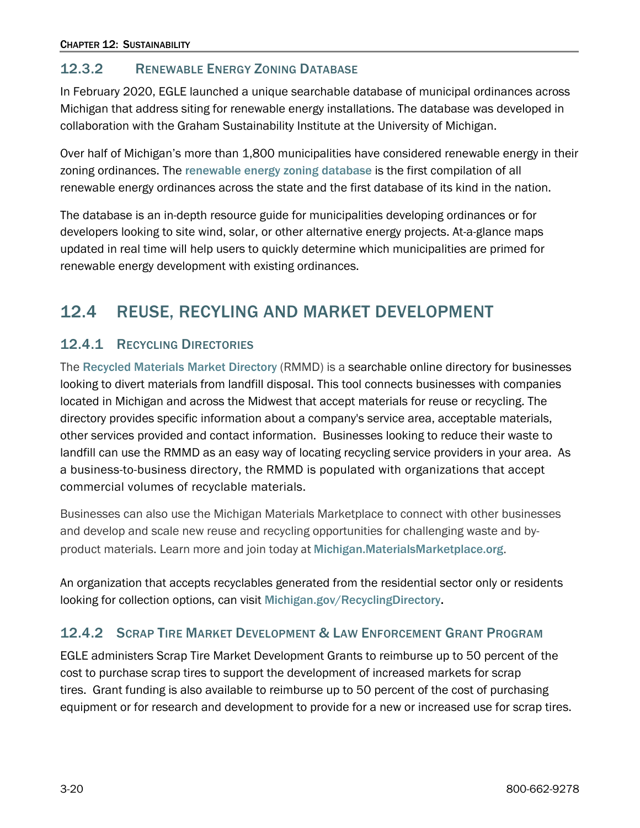### 12.3.2 RENEWABLE ENERGY ZONING DATABASE

In February 2020, EGLE launched a unique searchable database of municipal ordinances across Michigan that address siting for renewable energy installations. The database was developed in collaboration with the Graham Sustainability Institute at the University of Michigan.

Over half of Michigan's more than 1,800 municipalities have considered renewable energy in their zoning ordinances. The [renewable energy zoning database](https://www.michigan.gov/egle/about/organization/materials-management/energy/communities/mi-zoning-database) is the first compilation of all renewable energy ordinances across the state and the first database of its kind in the nation.

The database is an in-depth resource guide for municipalities developing ordinances or for developers looking to site wind, solar, or other alternative energy projects. At-a-glance maps updated in real time will help users to quickly determine which municipalities are primed for renewable energy development with existing ordinances.

## <span id="page-19-0"></span>12.4 REUSE, RECYLING AND MARKET DEVELOPMENT

### <span id="page-19-1"></span>12.4.1 RECYCLING DIRECTORIES

The [Recycled Materials Market Directory](https://www.michigan.gov/egle/about/organization/materials-management/recycling/recycled-material-market-directory) (RMMD) is a searchable online directory for businesses looking to divert materials from landfill disposal. This tool connects businesses with companies located in Michigan and across the Midwest that accept materials for reuse or recycling. The directory provides specific information about a company's service area, acceptable materials, other services provided and contact information. Businesses looking to reduce their waste to landfill can use the RMMD as an easy way of locating recycling service providers in your area. As a business-to-business directory, the RMMD is populated with organizations that accept commercial volumes of recyclable materials.

Businesses can also use the Michigan Materials Marketplace to connect with other businesses and develop and scale new reuse and recycling opportunities for challenging waste and byproduct materials. Learn more and join today at [Michigan.MaterialsMarketplace.org](https://michigan.materialsmarketplace.org/).

An organization that accepts recyclables generated from the residential sector only or residents looking for collection options, can visit [Michigan.gov/RecyclingDirectory.](https://www.michigan.gov/egle/about/organization/materials-management/recycling/michigan-recycling-directory)

### <span id="page-19-2"></span>12.4.2 SCRAP TIRE MARKET DEVELOPMENT & LAW ENFORCEMENT GRANT PROGRAM

EGLE administers Scrap Tire Market Development Grants to reimburse up to 50 percent of the cost to purchase scrap tires to support the development of increased markets for scrap tires. Grant funding is also available to reimburse up to 50 percent of the cost of purchasing equipment or for research and development to provide for a new or increased use for scrap tires.